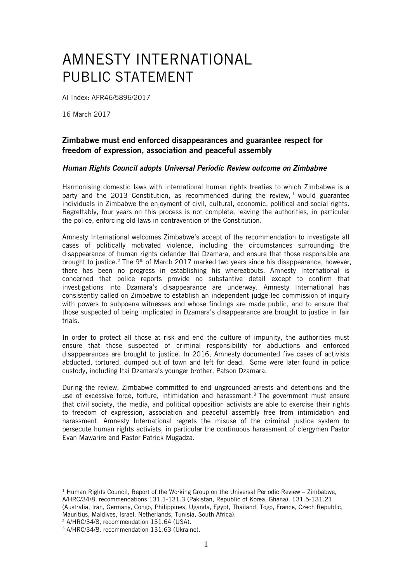## AMNESTY INTERNATIONAL PUBLIC STATEMENT

AI Index: AFR46/5896/2017

16 March 2017

## Zimbabwe must end enforced disappearances and guarantee respect for freedom of expression, association and peaceful assembly

## *Human Rights Council adopts Universal Periodic Review outcome on Zimbabwe*

Harmonising domestic laws with international human rights treaties to which Zimbabwe is a party and the 2013 Constitution, as recommended during the review,  $1$  would guarantee individuals in Zimbabwe the enjoyment of civil, cultural, economic, political and social rights. Regrettably, four years on this process is not complete, leaving the authorities, in particular the police, enforcing old laws in contravention of the Constitution.

Amnesty International welcomes Zimbabwe's accept of the recommendation to investigate all cases of politically motivated violence, including the circumstances surrounding the disappearance of human rights defender Itai Dzamara, and ensure that those responsible are brought to justice.<sup>2</sup> The 9<sup>th</sup> of March 2017 marked two years since his disappearance, however, there has been no progress in establishing his whereabouts. Amnesty International is concerned that police reports provide no substantive detail except to confirm that investigations into Dzamara's disappearance are underway. Amnesty International has consistently called on Zimbabwe to establish an independent judge-led commission of inquiry with powers to subpoena witnesses and whose findings are made public, and to ensure that those suspected of being implicated in Dzamara's disappearance are brought to justice in fair trials.

In order to protect all those at risk and end the culture of impunity, the authorities must ensure that those suspected of criminal responsibility for abductions and enforced disappearances are brought to justice. In 2016, Amnesty documented five cases of activists abducted, tortured, dumped out of town and left for dead. Some were later found in police custody, including Itai Dzamara's younger brother, Patson Dzamara.

During the review, Zimbabwe committed to end ungrounded arrests and detentions and the use of excessive force, torture, intimidation and harassment.<sup>3</sup> The government must ensure that civil society, the media, and political opposition activists are able to exercise their rights to freedom of expression, association and peaceful assembly free from intimidation and harassment. Amnesty International regrets the misuse of the criminal justice system to persecute human rights activists, in particular the continuous harassment of clergymen Pastor Evan Mawarire and Pastor Patrick Mugadza.

<sup>2</sup> A/HRC/34/8, recommendation 131.64 (USA).

<sup>&</sup>lt;u>.</u>  $1$  Human Rights Council, Report of the Working Group on the Universal Periodic Review – Zimbabwe, A/HRC/34/8, recommendations 131.1-131.3 (Pakistan, Republic of Korea, Ghana), 131.5-131.21 (Australia, Iran, Germany, Congo, Philippines, Uganda, Egypt, Thailand, Togo, France, Czech Republic, Mauritius, Maldives, Israel, Netherlands, Tunisia, South Africa).

<sup>3</sup> A/HRC/34/8, recommendation 131.63 (Ukraine).